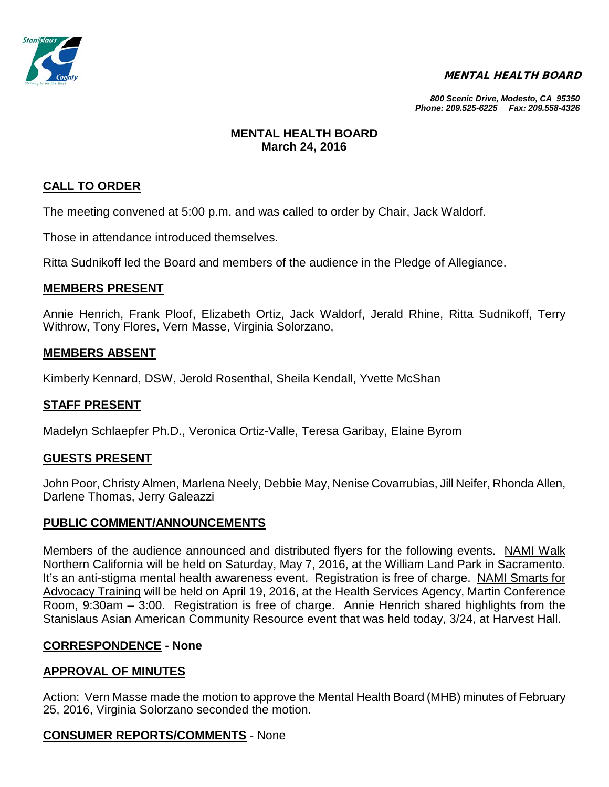

#### MENTAL HEALTH BOARD

*800 Scenic Drive, Modesto, CA 95350 Phone: 209.525-6225 Fax: 209.558-4326*

## **MENTAL HEALTH BOARD March 24, 2016**

# **CALL TO ORDER**

The meeting convened at 5:00 p.m. and was called to order by Chair, Jack Waldorf.

Those in attendance introduced themselves.

Ritta Sudnikoff led the Board and members of the audience in the Pledge of Allegiance.

### **MEMBERS PRESENT**

Annie Henrich, Frank Ploof, Elizabeth Ortiz, Jack Waldorf, Jerald Rhine, Ritta Sudnikoff, Terry Withrow, Tony Flores, Vern Masse, Virginia Solorzano,

#### **MEMBERS ABSENT**

Kimberly Kennard, DSW, Jerold Rosenthal, Sheila Kendall, Yvette McShan

#### **STAFF PRESENT**

Madelyn Schlaepfer Ph.D., Veronica Ortiz-Valle, Teresa Garibay, Elaine Byrom

#### **GUESTS PRESENT**

John Poor, Christy Almen, Marlena Neely, Debbie May, Nenise Covarrubias, Jill Neifer, Rhonda Allen, Darlene Thomas, Jerry Galeazzi

#### **PUBLIC COMMENT/ANNOUNCEMENTS**

Members of the audience announced and distributed flyers for the following events. NAMI Walk Northern California will be held on Saturday, May 7, 2016, at the William Land Park in Sacramento. It's an anti-stigma mental health awareness event. Registration is free of charge. NAMI Smarts for Advocacy Training will be held on April 19, 2016, at the Health Services Agency, Martin Conference Room, 9:30am – 3:00. Registration is free of charge. Annie Henrich shared highlights from the Stanislaus Asian American Community Resource event that was held today, 3/24, at Harvest Hall.

#### **CORRESPONDENCE - None**

### **APPROVAL OF MINUTES**

Action: Vern Masse made the motion to approve the Mental Health Board (MHB) minutes of February 25, 2016, Virginia Solorzano seconded the motion.

### **CONSUMER REPORTS/COMMENTS** - None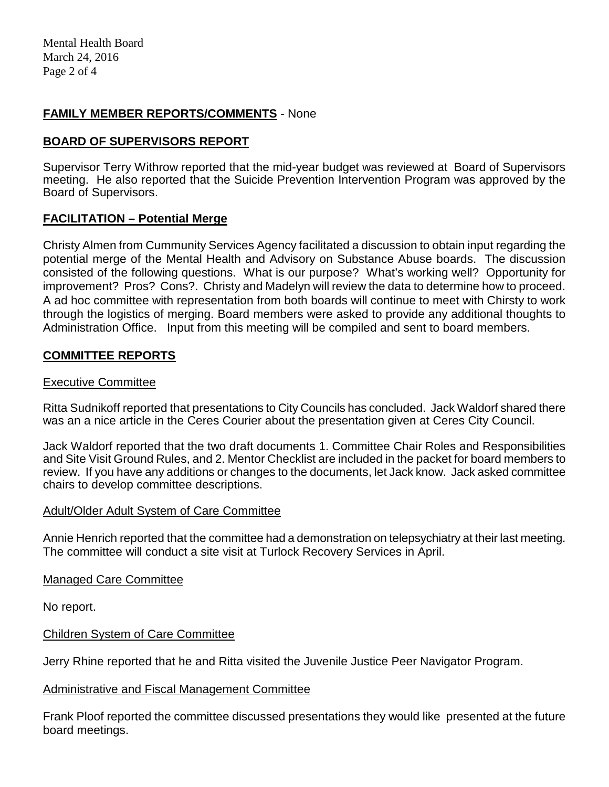## **FAMILY MEMBER REPORTS/COMMENTS** - None

## **BOARD OF SUPERVISORS REPORT**

Supervisor Terry Withrow reported that the mid-year budget was reviewed at Board of Supervisors meeting. He also reported that the Suicide Prevention Intervention Program was approved by the Board of Supervisors.

### **FACILITATION – Potential Merge**

Christy Almen from Cummunity Services Agency facilitated a discussion to obtain input regarding the potential merge of the Mental Health and Advisory on Substance Abuse boards. The discussion consisted of the following questions. What is our purpose? What's working well? Opportunity for improvement? Pros? Cons?. Christy and Madelyn will review the data to determine how to proceed. A ad hoc committee with representation from both boards will continue to meet with Chirsty to work through the logistics of merging. Board members were asked to provide any additional thoughts to Administration Office. Input from this meeting will be compiled and sent to board members.

### **COMMITTEE REPORTS**

#### Executive Committee

Ritta Sudnikoff reported that presentations to City Councils has concluded. Jack Waldorf shared there was an a nice article in the Ceres Courier about the presentation given at Ceres City Council.

Jack Waldorf reported that the two draft documents 1. Committee Chair Roles and Responsibilities and Site Visit Ground Rules, and 2. Mentor Checklist are included in the packet for board members to review. If you have any additions or changes to the documents, let Jack know. Jack asked committee chairs to develop committee descriptions.

#### Adult/Older Adult System of Care Committee

Annie Henrich reported that the committee had a demonstration on telepsychiatry at their last meeting. The committee will conduct a site visit at Turlock Recovery Services in April.

Managed Care Committee

No report.

### Children System of Care Committee

Jerry Rhine reported that he and Ritta visited the Juvenile Justice Peer Navigator Program.

#### Administrative and Fiscal Management Committee

Frank Ploof reported the committee discussed presentations they would like presented at the future board meetings.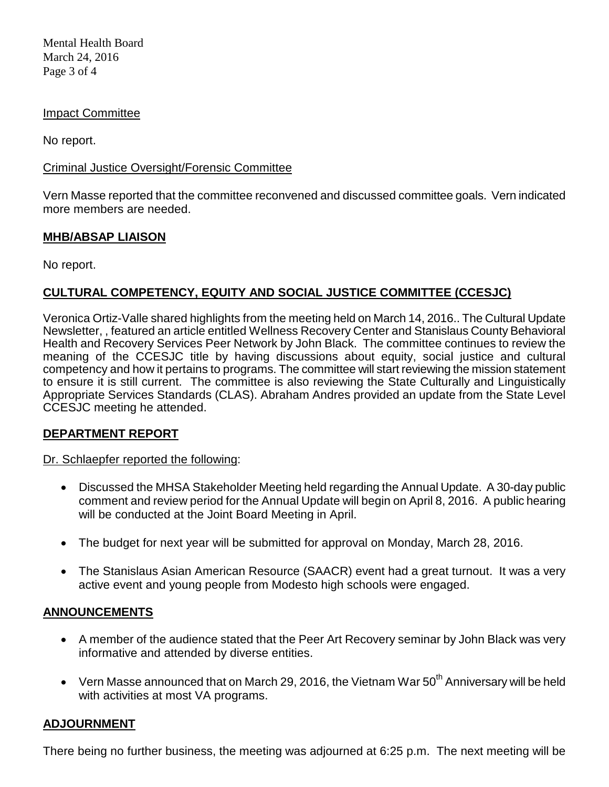Mental Health Board March 24, 2016 Page 3 of 4

### Impact Committee

No report.

## Criminal Justice Oversight/Forensic Committee

Vern Masse reported that the committee reconvened and discussed committee goals. Vern indicated more members are needed.

# **MHB/ABSAP LIAISON**

No report.

# **CULTURAL COMPETENCY, EQUITY AND SOCIAL JUSTICE COMMITTEE (CCESJC)**

Veronica Ortiz-Valle shared highlights from the meeting held on March 14, 2016.. The Cultural Update Newsletter, , featured an article entitled Wellness Recovery Center and Stanislaus County Behavioral Health and Recovery Services Peer Network by John Black. The committee continues to review the meaning of the CCESJC title by having discussions about equity, social justice and cultural competency and how it pertains to programs. The committee will start reviewing the mission statement to ensure it is still current. The committee is also reviewing the State Culturally and Linguistically Appropriate Services Standards (CLAS). Abraham Andres provided an update from the State Level CCESJC meeting he attended.

# **DEPARTMENT REPORT**

### Dr. Schlaepfer reported the following:

- Discussed the MHSA Stakeholder Meeting held regarding the Annual Update. A 30-day public comment and review period for the Annual Update will begin on April 8, 2016. A public hearing will be conducted at the Joint Board Meeting in April.
- The budget for next year will be submitted for approval on Monday, March 28, 2016.
- The Stanislaus Asian American Resource (SAACR) event had a great turnout. It was a very active event and young people from Modesto high schools were engaged.

### **ANNOUNCEMENTS**

- A member of the audience stated that the Peer Art Recovery seminar by John Black was very informative and attended by diverse entities.
- Vern Masse announced that on March 29, 2016, the Vietnam War  $50<sup>th</sup>$  Anniversary will be held with activities at most VA programs.

# **ADJOURNMENT**

There being no further business, the meeting was adjourned at 6:25 p.m. The next meeting will be